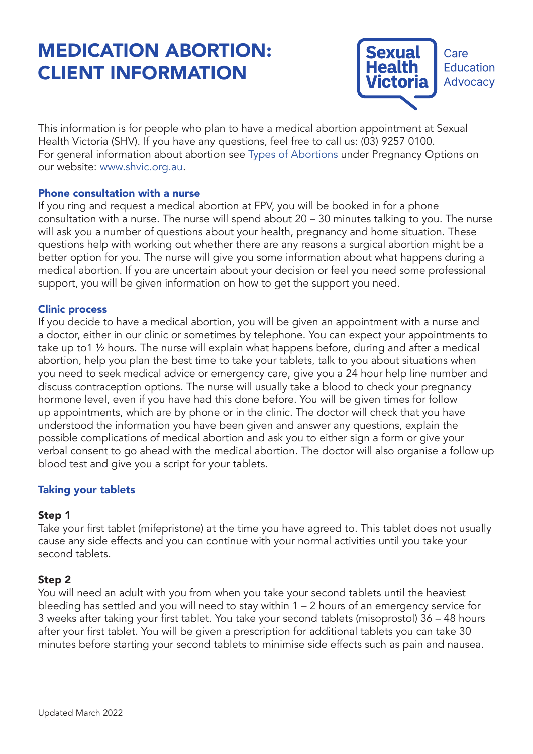# MEDICATION ABORTION: CLIENT INFORMATION



This information is for people who plan to have a medical abortion appointment at Sexual Health Victoria (SHV). If you have any questions, feel free to call us: (03) 9257 0100. For general information about abortion see Types of Abortions under Pregnancy Options on our website: www.shvic.org.au.

#### Phone consultation with a nurse

If you ring and request a medical abortion at FPV, you will be booked in for a phone consultation with a nurse. The nurse will spend about 20 – 30 minutes talking to you. The nurse will ask you a number of questions about your health, pregnancy and home situation. These questions help with working out whether there are any reasons a surgical abortion might be a better option for you. The nurse will give you some information about what happens during a medical abortion. If you are uncertain about your decision or feel you need some professional support, you will be given information on how to get the support you need.

#### Clinic process

If you decide to have a medical abortion, you will be given an appointment with a nurse and a doctor, either in our clinic or sometimes by telephone. You can expect your appointments to take up to1 ½ hours. The nurse will explain what happens before, during and after a medical abortion, help you plan the best time to take your tablets, talk to you about situations when you need to seek medical advice or emergency care, give you a 24 hour help line number and discuss contraception options. The nurse will usually take a blood to check your pregnancy hormone level, even if you have had this done before. You will be given times for follow up appointments, which are by phone or in the clinic. The doctor will check that you have understood the information you have been given and answer any questions, explain the possible complications of medical abortion and ask you to either sign a form or give your verbal consent to go ahead with the medical abortion. The doctor will also organise a follow up blood test and give you a script for your tablets.

## Taking your tablets

## Step 1

Take your first tablet (mifepristone) at the time you have agreed to. This tablet does not usually cause any side effects and you can continue with your normal activities until you take your second tablets.

## Step 2

You will need an adult with you from when you take your second tablets until the heaviest bleeding has settled and you will need to stay within 1 – 2 hours of an emergency service for 3 weeks after taking your first tablet. You take your second tablets (misoprostol) 36 – 48 hours after your first tablet. You will be given a prescription for additional tablets you can take 30 minutes before starting your second tablets to minimise side effects such as pain and nausea.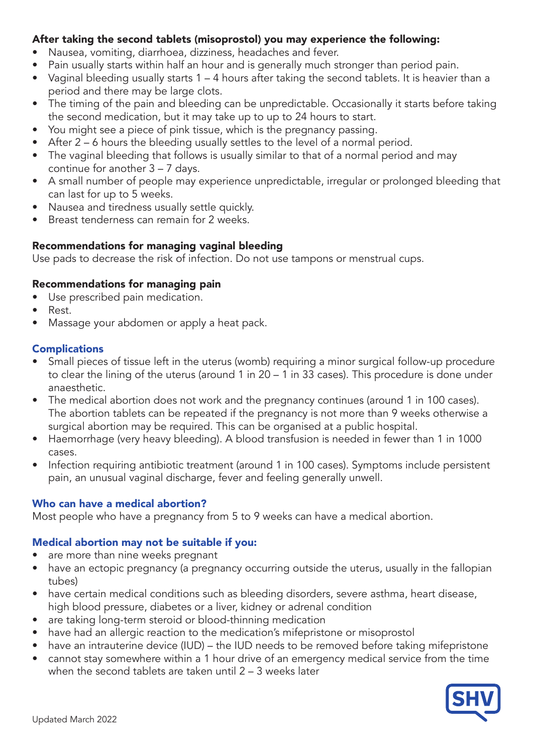# After taking the second tablets (misoprostol) you may experience the following:

- Nausea, vomiting, diarrhoea, dizziness, headaches and fever.
- Pain usually starts within half an hour and is generally much stronger than period pain.
- Vaginal bleeding usually starts 1 4 hours after taking the second tablets. It is heavier than a period and there may be large clots.
- The timing of the pain and bleeding can be unpredictable. Occasionally it starts before taking the second medication, but it may take up to up to 24 hours to start.
- You might see a piece of pink tissue, which is the pregnancy passing.
- After 2 6 hours the bleeding usually settles to the level of a normal period.
- The vaginal bleeding that follows is usually similar to that of a normal period and may continue for another 3 – 7 days.
- A small number of people may experience unpredictable, irregular or prolonged bleeding that can last for up to 5 weeks.
- Nausea and tiredness usually settle quickly.
- Breast tenderness can remain for 2 weeks.

# Recommendations for managing vaginal bleeding

Use pads to decrease the risk of infection. Do not use tampons or menstrual cups.

# Recommendations for managing pain

- Use prescribed pain medication.
- Rest.
- Massage your abdomen or apply a heat pack.

## **Complications**

- Small pieces of tissue left in the uterus (womb) requiring a minor surgical follow-up procedure to clear the lining of the uterus (around 1 in 20 – 1 in 33 cases). This procedure is done under anaesthetic.
- The medical abortion does not work and the pregnancy continues (around 1 in 100 cases). The abortion tablets can be repeated if the pregnancy is not more than 9 weeks otherwise a surgical abortion may be required. This can be organised at a public hospital.
- Haemorrhage (very heavy bleeding). A blood transfusion is needed in fewer than 1 in 1000 cases.
- Infection requiring antibiotic treatment (around 1 in 100 cases). Symptoms include persistent pain, an unusual vaginal discharge, fever and feeling generally unwell.

# Who can have a medical abortion?

Most people who have a pregnancy from 5 to 9 weeks can have a medical abortion.

## Medical abortion may not be suitable if you:

- are more than nine weeks pregnant
- have an ectopic pregnancy (a pregnancy occurring outside the uterus, usually in the fallopian tubes)
- have certain medical conditions such as bleeding disorders, severe asthma, heart disease, high blood pressure, diabetes or a liver, kidney or adrenal condition
- are taking long-term steroid or blood-thinning medication
- have had an allergic reaction to the medication's mifepristone or misoprostol
- have an intrauterine device (IUD) the IUD needs to be removed before taking mifepristone
- cannot stay somewhere within a 1 hour drive of an emergency medical service from the time when the second tablets are taken until 2 – 3 weeks later